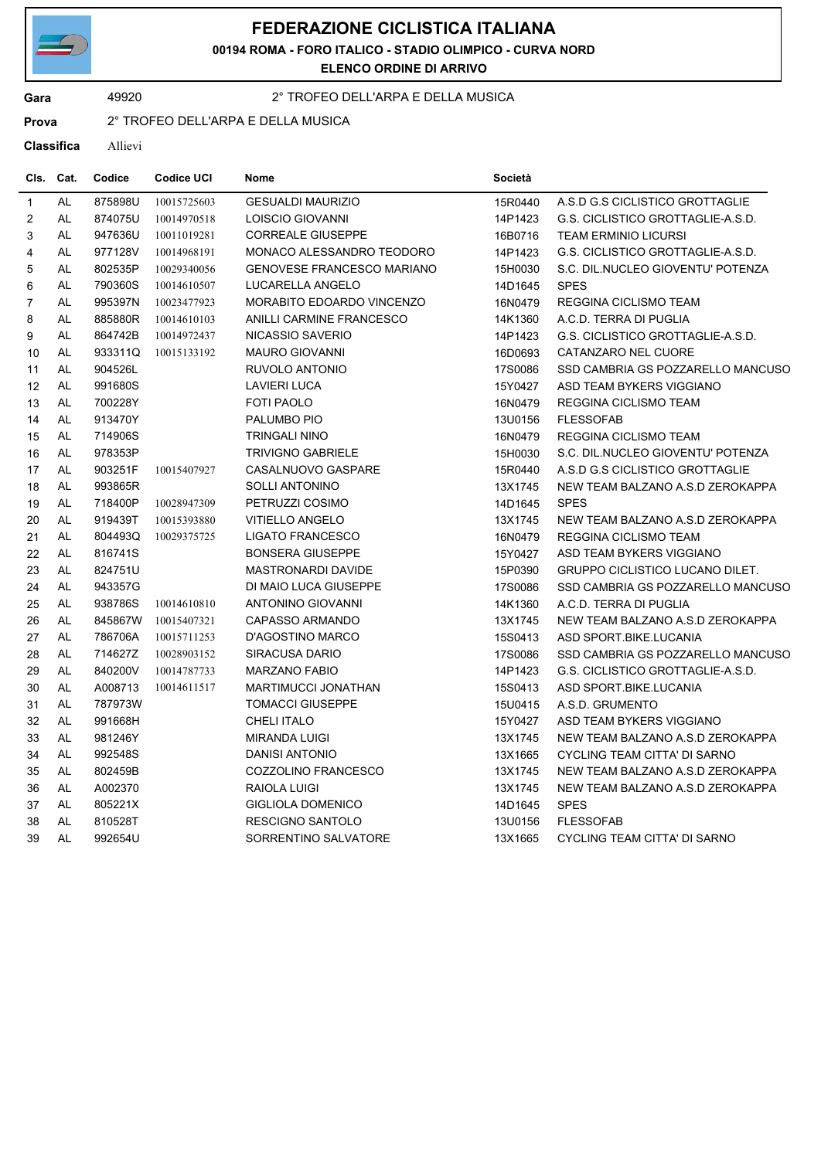

## **FEDERAZIONE CICLISTICA ITALIANA**

**00194 ROMA - FORO ITALICO - STADIO OLIMPICO - CURVA NORD**

**ELENCO ORDINE DI ARRIVO**

## **Gara** 49920 2° TROFEO DELL'ARPA E DELLA MUSICA

**Prova** 2° TROFEO DELL'ARPA E DELLA MUSICA

**Classifica** Allievi

| CIs.             | Cat.          | Codice  | Codice UCI  | Nome                              | Società |                                        |
|------------------|---------------|---------|-------------|-----------------------------------|---------|----------------------------------------|
| $\overline{1}$   | <b>AL</b>     | 875898U | 10015725603 | <b>GESUALDI MAURIZIO</b>          | 15R0440 | A.S.D G.S CICLISTICO GROTTAGLIE        |
| $\boldsymbol{2}$ | AL            | 874075U | 10014970518 | LOISCIO GIOVANNI                  | 14P1423 | G.S. CICLISTICO GROTTAGLIE-A.S.D.      |
| 3                | AL            | 947636U | 10011019281 | <b>CORREALE GIUSEPPE</b>          | 16B0716 | <b>TEAM ERMINIO LICURSI</b>            |
| 4                | $\mathsf{AL}$ | 977128V | 10014968191 | MONACO ALESSANDRO TEODORO         | 14P1423 | G.S. CICLISTICO GROTTAGLIE-A.S.D.      |
| 5                | AL            | 802535P | 10029340056 | <b>GENOVESE FRANCESCO MARIANO</b> | 15H0030 | S.C. DIL.NUCLEO GIOVENTU' POTENZA      |
| 6                | AL            | 790360S | 10014610507 | LUCARELLA ANGELO                  | 14D1645 | <b>SPES</b>                            |
| $\overline{7}$   | AL            | 995397N | 10023477923 | MORABITO EDOARDO VINCENZO         | 16N0479 | REGGINA CICLISMO TEAM                  |
| 8                | AL            | 885880R | 10014610103 | ANILLI CARMINE FRANCESCO          | 14K1360 | A.C.D. TERRA DI PUGLIA                 |
| 9                | AL            | 864742B | 10014972437 | NICASSIO SAVERIO                  | 14P1423 | G.S. CICLISTICO GROTTAGLIE-A.S.D.      |
| 10               | AL            | 933311Q | 10015133192 | <b>MAURO GIOVANNI</b>             | 16D0693 | CATANZARO NEL CUORE                    |
| 11               | <b>AL</b>     | 904526L |             | RUVOLO ANTONIO                    | 17S0086 | SSD CAMBRIA GS POZZARELLO MANCUSO      |
| 12               | AL            | 991680S |             | <b>LAVIERI LUCA</b>               | 15Y0427 | ASD TEAM BYKERS VIGGIANO               |
| 13               | AL            | 700228Y |             | FOTI PAOLO                        | 16N0479 | <b>REGGINA CICLISMO TEAM</b>           |
| 14               | AL            | 913470Y |             | PALUMBO PIO                       | 13U0156 | <b>FLESSOFAB</b>                       |
| 15               | AL            | 714906S |             | <b>TRINGALI NINO</b>              | 16N0479 | REGGINA CICLISMO TEAM                  |
| 16               | <b>AL</b>     | 978353P |             | <b>TRIVIGNO GABRIELE</b>          | 15H0030 | S.C. DIL.NUCLEO GIOVENTU' POTENZA      |
| 17               | AL            | 903251F | 10015407927 | CASALNUOVO GASPARE                | 15R0440 | A.S.D G.S CICLISTICO GROTTAGLIE        |
| 18               | AL            | 993865R |             | <b>SOLLI ANTONINO</b>             | 13X1745 | NEW TEAM BALZANO A.S.D ZEROKAPPA       |
| 19               | AL            | 718400P | 10028947309 | PETRUZZI COSIMO                   | 14D1645 | <b>SPES</b>                            |
| 20               | AL            | 919439T | 10015393880 | <b>VITIELLO ANGELO</b>            | 13X1745 | NEW TEAM BALZANO A.S.D ZEROKAPPA       |
| 21               | AL            | 804493Q | 10029375725 | <b>LIGATO FRANCESCO</b>           | 16N0479 | <b>REGGINA CICLISMO TEAM</b>           |
| 22               | AL            | 816741S |             | <b>BONSERA GIUSEPPE</b>           | 15Y0427 | ASD TEAM BYKERS VIGGIANO               |
| 23               | AL            | 824751U |             | <b>MASTRONARDI DAVIDE</b>         | 15P0390 | <b>GRUPPO CICLISTICO LUCANO DILET.</b> |
| 24               | AL            | 943357G |             | DI MAIO LUCA GIUSEPPE             | 17S0086 | SSD CAMBRIA GS POZZARELLO MANCUSO      |
| 25               | AL            | 938786S | 10014610810 | <b>ANTONINO GIOVANNI</b>          | 14K1360 | A.C.D. TERRA DI PUGLIA                 |
| 26               | <b>AL</b>     | 845867W | 10015407321 | <b>CAPASSO ARMANDO</b>            | 13X1745 | NEW TEAM BALZANO A.S.D ZEROKAPPA       |
| 27               | AL            | 786706A | 10015711253 | D'AGOSTINO MARCO                  | 15S0413 | ASD SPORT.BIKE.LUCANIA                 |
| 28               | AL            | 714627Z | 10028903152 | <b>SIRACUSA DARIO</b>             | 17S0086 | SSD CAMBRIA GS POZZARELLO MANCUSO      |
| 29               | AL            | 840200V | 10014787733 | <b>MARZANO FABIO</b>              | 14P1423 | G.S. CICLISTICO GROTTAGLIE-A.S.D.      |
| 30               | AL            | A008713 | 10014611517 | MARTIMUCCI JONATHAN               | 15S0413 | ASD SPORT BIKE LUCANIA                 |
| 31               | <b>AL</b>     | 787973W |             | <b>TOMACCI GIUSEPPE</b>           | 15U0415 | A.S.D. GRUMENTO                        |
| 32               | AL            | 991668H |             | <b>CHELI ITALO</b>                | 15Y0427 | ASD TEAM BYKERS VIGGIANO               |
| 33               | AL            | 981246Y |             | <b>MIRANDA LUIGI</b>              | 13X1745 | NEW TEAM BALZANO A.S.D ZEROKAPPA       |
| 34               | AL            | 992548S |             | <b>DANISI ANTONIO</b>             | 13X1665 | CYCLING TEAM CITTA' DI SARNO           |
| 35               | AL            | 802459B |             | COZZOLINO FRANCESCO               | 13X1745 | NEW TEAM BALZANO A.S.D ZEROKAPPA       |
| 36               | AL            | A002370 |             | RAIOLA LUIGI                      | 13X1745 | NEW TEAM BALZANO A.S.D ZEROKAPPA       |
| 37               | AL            | 805221X |             | GIGLIOLA DOMENICO                 | 14D1645 | <b>SPES</b>                            |
| 38               | AL            | 810528T |             | RESCIGNO SANTOLO                  | 13U0156 | <b>FLESSOFAB</b>                       |
| 39               | AL            | 992654U |             | SORRENTINO SALVATORE              | 13X1665 | <b>CYCLING TEAM CITTA' DI SARNO</b>    |
|                  |               |         |             |                                   |         |                                        |